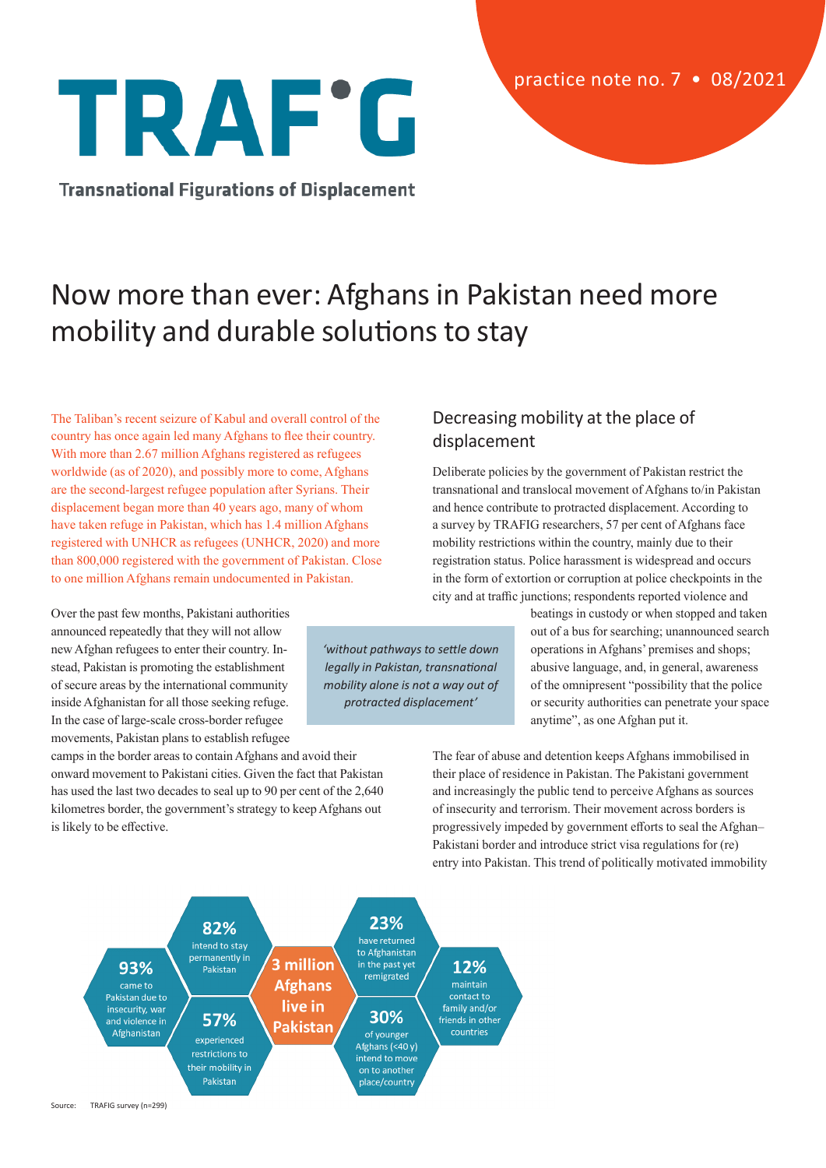# TRAF'G

**Transnational Figurations of Displacement** 

# Now more than ever: Afghans in Pakistan need more mobility and durable solutions to stay

The Taliban's recent seizure of Kabul and overall control of the country has once again led many Afghans to flee their country. With more than 2.67 million Afghans registered as refugees worldwide (as of 2020), and possibly more to come, Afghans are the second-largest refugee population after Syrians. Their displacement began more than 40 years ago, many of whom have taken refuge in Pakistan, which has 1.4 million Afghans registered with UNHCR as refugees (UNHCR, 2020) and more than 800,000 registered with the government of Pakistan. Close to one million Afghans remain undocumented in Pakistan.

Over the past few months, Pakistani authorities announced repeatedly that they will not allow new Afghan refugees to enter their country. Instead, Pakistan is promoting the establishment of secure areas by the international community inside Afghanistan for all those seeking refuge. In the case of large-scale cross-border refugee movements, Pakistan plans to establish refugee

camps in the border areas to contain Afghans and avoid their onward movement to Pakistani cities. Given the fact that Pakistan has used the last two decades to seal up to 90 per cent of the 2,640 kilometres border, the government's strategy to keep Afghans out is likely to be effective.

## Decreasing mobility at the place of displacement

Deliberate policies by the government of Pakistan restrict the transnational and translocal movement of Afghans to/in Pakistan and hence contribute to protracted displacement. According to a survey by TRAFIG researchers, 57 per cent of Afghans face mobility restrictions within the country, mainly due to their registration status. Police harassment is widespread and occurs in the form of extortion or corruption at police checkpoints in the city and at traffic junctions; respondents reported violence and

> beatings in custody or when stopped and taken out of a bus for searching; unannounced search operations in Afghans' premises and shops; abusive language, and, in general, awareness of the omnipresent "possibility that the police or security authorities can penetrate your space anytime", as one Afghan put it.

The fear of abuse and detention keeps Afghans immobilised in their place of residence in Pakistan. The Pakistani government and increasingly the public tend to perceive Afghans as sources of insecurity and terrorism. Their movement across borders is progressively impeded by government efforts to seal the Afghan– Pakistani border and introduce strict visa regulations for (re) entry into Pakistan. This trend of politically motivated immobility



Source: TRAFIG survey (n=299)

*'without pathways to settle down legally in Pakistan, transnational mobility alone is not a way out of protracted displacement'*